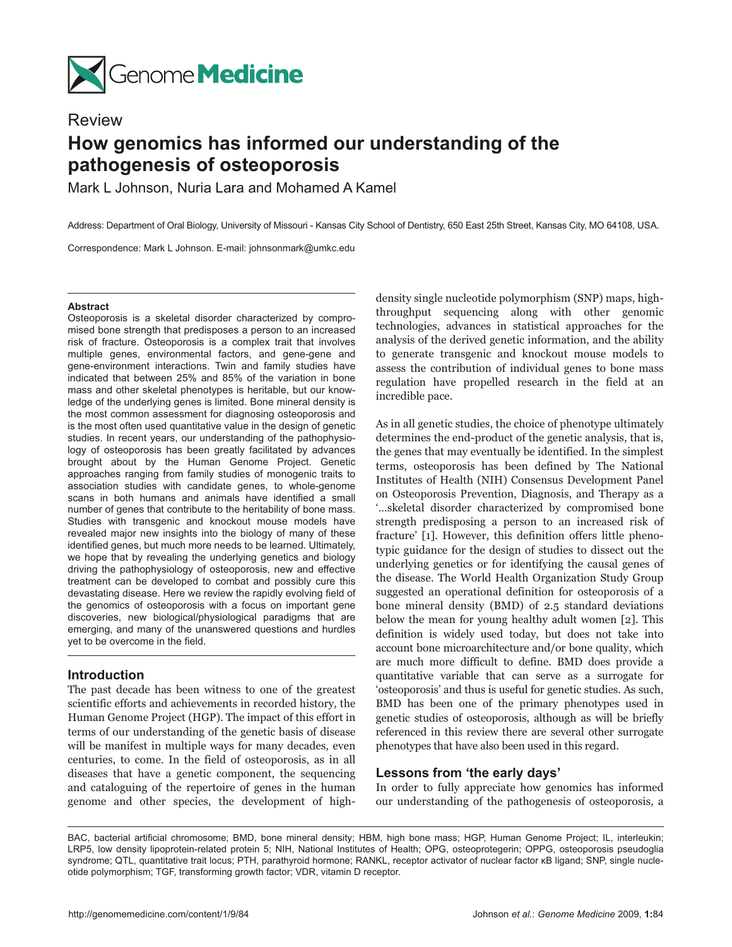

Review

# **How genomics has informed our understanding of the pathogenesis of osteoporosis**

Mark L Johnson, Nuria Lara and Mohamed A Kamel

Address: Department of Oral Biology, University of Missouri - Kansas City School of Dentistry, 650 East 25th Street, Kansas City, MO 64108, USA.

Correspondence: Mark L Johnson. E-mail: johnsonmark@umkc.edu

#### **Abstract**

Osteoporosis is a skeletal disorder characterized by compromised bone strength that predisposes a person to an increased risk of fracture. Osteoporosis is a complex trait that involves multiple genes, environmental factors, and gene-gene and gene-environment interactions. Twin and family studies have indicated that between 25% and 85% of the variation in bone mass and other skeletal phenotypes is heritable, but our knowledge of the underlying genes is limited. Bone mineral density is the most common assessment for diagnosing osteoporosis and is the most often used quantitative value in the design of genetic studies. In recent years, our understanding of the pathophysiology of osteoporosis has been greatly facilitated by advances brought about by the Human Genome Project. Genetic approaches ranging from family studies of monogenic traits to association studies with candidate genes, to whole-genome scans in both humans and animals have identified a small number of genes that contribute to the heritability of bone mass. Studies with transgenic and knockout mouse models have revealed major new insights into the biology of many of these identified genes, but much more needs to be learned. Ultimately, we hope that by revealing the underlying genetics and biology driving the pathophysiology of osteoporosis, new and effective treatment can be developed to combat and possibly cure this devastating disease. Here we review the rapidly evolving field of the genomics of osteoporosis with a focus on important gene discoveries, new biological/physiological paradigms that are emerging, and many of the unanswered questions and hurdles yet to be overcome in the field.

# **Introduction**

The past decade has been witness to one of the greatest scientific efforts and achievements in recorded history, the Human Genome Project (HGP). The impact of this effort in terms of our understanding of the genetic basis of disease will be manifest in multiple ways for many decades, even centuries, to come. In the field of osteoporosis, as in all diseases that have a genetic component, the sequencing and cataloguing of the repertoire of genes in the human genome and other species, the development of highdensity single nucleotide polymorphism (SNP) maps, highthroughput sequencing along with other genomic technologies, advances in statistical approaches for the analysis of the derived genetic information, and the ability to generate transgenic and knockout mouse models to assess the contribution of individual genes to bone mass regulation have propelled research in the field at an incredible pace.

As in all genetic studies, the choice of phenotype ultimately determines the end-product of the genetic analysis, that is, the genes that may eventually be identified. In the simplest terms, osteoporosis has been defined by The National Institutes of Health (NIH) Consensus Development Panel on Osteoporosis Prevention, Diagnosis, and Therapy as a '…skeletal disorder characterized by compromised bone strength predisposing a person to an increased risk of fracture' [1]. However, this definition offers little phenotypic guidance for the design of studies to dissect out the underlying genetics or for identifying the causal genes of the disease. The World Health Organization Study Group suggested an operational definition for osteoporosis of a bone mineral density (BMD) of 2.5 standard deviations below the mean for young healthy adult women [2]. This definition is widely used today, but does not take into account bone microarchitecture and/or bone quality, which are much more difficult to define. BMD does provide a quantitative variable that can serve as a surrogate for 'osteoporosis' and thus is useful for genetic studies. As such, BMD has been one of the primary phenotypes used in genetic studies of osteoporosis, although as will be briefly referenced in this review there are several other surrogate phenotypes that have also been used in this regard.

# **Lessons from 'the early days'**

In order to fully appreciate how genomics has informed our understanding of the pathogenesis of osteoporosis, a

BAC, bacterial artificial chromosome; BMD, bone mineral density; HBM, high bone mass; HGP, Human Genome Project; IL, interleukin; LRP5, low density lipoprotein-related protein 5; NIH, National Institutes of Health; OPG, osteoprotegerin; OPPG, osteoporosis pseudoglia syndrome; QTL, quantitative trait locus; PTH, parathyroid hormone; RANKL, receptor activator of nuclear factor κB ligand; SNP, single nucleotide polymorphism; TGF, transforming growth factor; VDR, vitamin D receptor.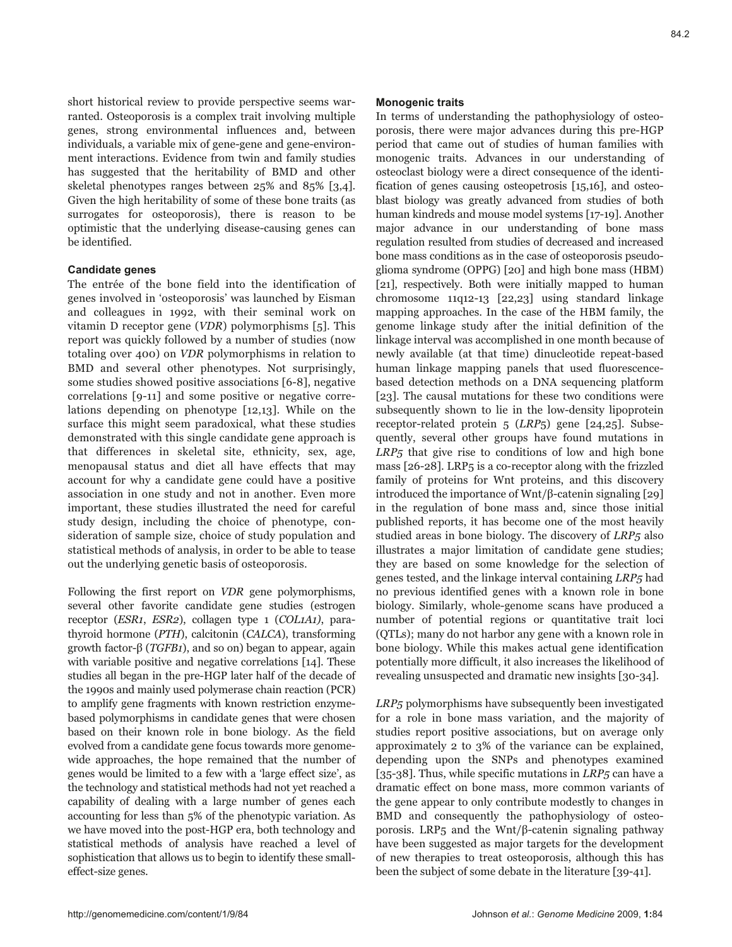short historical review to provide perspective seems warranted. Osteoporosis is a complex trait involving multiple genes, strong environmental influences and, between individuals, a variable mix of gene-gene and gene-environment interactions. Evidence from twin and family studies has suggested that the heritability of BMD and other skeletal phenotypes ranges between 25% and 85% [3,4]. Given the high heritability of some of these bone traits (as surrogates for osteoporosis), there is reason to be optimistic that the underlying disease-causing genes can be identified.

#### **Candidate genes**

The entrée of the bone field into the identification of genes involved in 'osteoporosis' was launched by Eisman and colleagues in 1992, with their seminal work on vitamin D receptor gene (*VDR*) polymorphisms [5]. This report was quickly followed by a number of studies (now totaling over 400) on *VDR* polymorphisms in relation to BMD and several other phenotypes. Not surprisingly, some studies showed positive associations [6-8], negative correlations [9-11] and some positive or negative correlations depending on phenotype  $[12,13]$ . While on the surface this might seem paradoxical, what these studies demonstrated with this single candidate gene approach is that differences in skeletal site, ethnicity, sex, age, menopausal status and diet all have effects that may account for why a candidate gene could have a positive association in one study and not in another. Even more important, these studies illustrated the need for careful study design, including the choice of phenotype, consideration of sample size, choice of study population and statistical methods of analysis, in order to be able to tease out the underlying genetic basis of osteoporosis.

Following the first report on *VDR* gene polymorphisms, several other favorite candidate gene studies (estrogen receptor (*ESR1*, *ESR2*), collagen type 1 (*COL1A1)*, parathyroid hormone (*PTH*), calcitonin (*CALCA*), transforming growth factor-β (*TGFB1*), and so on) began to appear, again with variable positive and negative correlations [14]. These studies all began in the pre-HGP later half of the decade of the 1990s and mainly used polymerase chain reaction (PCR) to amplify gene fragments with known restriction enzymebased polymorphisms in candidate genes that were chosen based on their known role in bone biology. As the field evolved from a candidate gene focus towards more genomewide approaches, the hope remained that the number of genes would be limited to a few with a 'large effect size', as the technology and statistical methods had not yet reached a capability of dealing with a large number of genes each accounting for less than 5% of the phenotypic variation. As we have moved into the post-HGP era, both technology and statistical methods of analysis have reached a level of sophistication that allows us to begin to identify these smalleffect-size genes.

### 84.2

#### **Monogenic traits**

In terms of understanding the pathophysiology of osteoporosis, there were major advances during this pre-HGP period that came out of studies of human families with monogenic traits. Advances in our understanding of osteoclast biology were a direct consequence of the identification of genes causing osteopetrosis [15,16], and osteoblast biology was greatly advanced from studies of both human kindreds and mouse model systems [17-19]. Another major advance in our understanding of bone mass regulation resulted from studies of decreased and increased bone mass conditions as in the case of osteoporosis pseudoglioma syndrome (OPPG) [20] and high bone mass (HBM) [21], respectively. Both were initially mapped to human chromosome 11q12-13 [22,23] using standard linkage mapping approaches. In the case of the HBM family, the genome linkage study after the initial definition of the linkage interval was accomplished in one month because of newly available (at that time) dinucleotide repeat-based human linkage mapping panels that used fluorescencebased detection methods on a DNA sequencing platform [23]. The causal mutations for these two conditions were subsequently shown to lie in the low-density lipoprotein receptor-related protein 5 (*LRP*5) gene [24,25]. Subsequently, several other groups have found mutations in *LRP5* that give rise to conditions of low and high bone mass [26-28]. LRP5 is a co-receptor along with the frizzled family of proteins for Wnt proteins, and this discovery introduced the importance of Wnt/β-catenin signaling [29] in the regulation of bone mass and, since those initial published reports, it has become one of the most heavily studied areas in bone biology. The discovery of *LRP5* also illustrates a major limitation of candidate gene studies; they are based on some knowledge for the selection of genes tested, and the linkage interval containing *LRP5* had no previous identified genes with a known role in bone biology. Similarly, whole-genome scans have produced a number of potential regions or quantitative trait loci (QTLs); many do not harbor any gene with a known role in bone biology. While this makes actual gene identification potentially more difficult, it also increases the likelihood of revealing unsuspected and dramatic new insights [30-34].

*LRP5* polymorphisms have subsequently been investigated for a role in bone mass variation, and the majority of studies report positive associations, but on average only approximately 2 to 3% of the variance can be explained, depending upon the SNPs and phenotypes examined [35-38]. Thus, while specific mutations in *LRP5* can have a dramatic effect on bone mass, more common variants of the gene appear to only contribute modestly to changes in BMD and consequently the pathophysiology of osteoporosis. LRP<sub>5</sub> and the Wnt/β-catenin signaling pathway have been suggested as major targets for the development of new therapies to treat osteoporosis, although this has been the subject of some debate in the literature [39-41].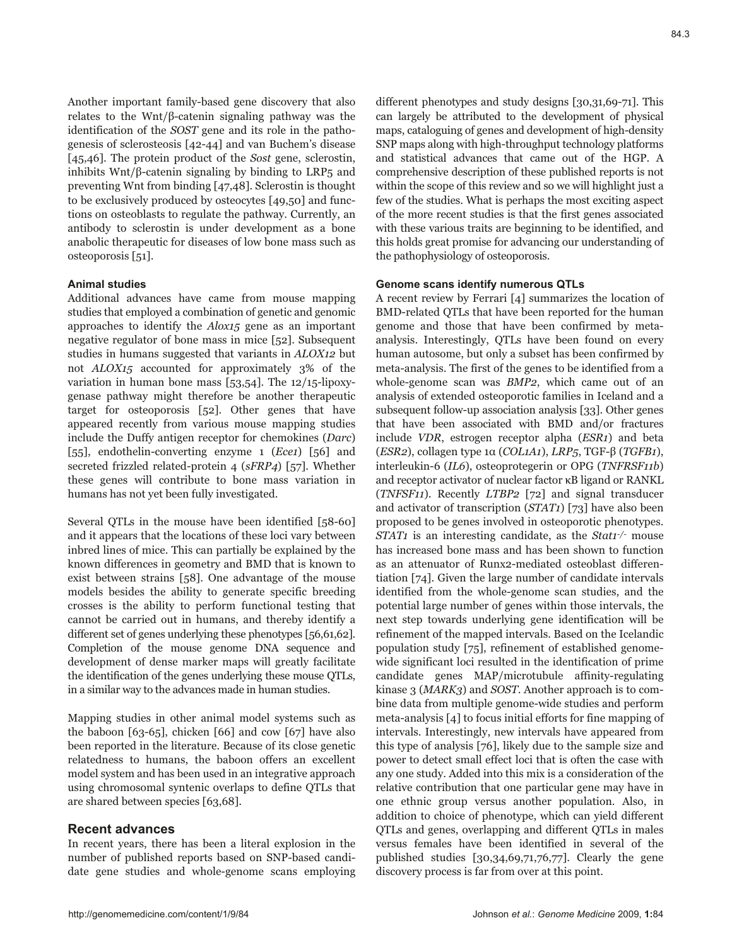Another important family-based gene discovery that also relates to the Wnt/β-catenin signaling pathway was the identification of the *SOST* gene and its role in the pathogenesis of sclerosteosis [42-44] and van Buchem's disease [45,46]. The protein product of the *Sost* gene, sclerostin, inhibits Wnt/β-catenin signaling by binding to LRP<sub>5</sub> and preventing Wnt from binding [47,48]. Sclerostin is thought to be exclusively produced by osteocytes [49,50] and functions on osteoblasts to regulate the pathway. Currently, an antibody to sclerostin is under development as a bone anabolic therapeutic for diseases of low bone mass such as osteoporosis [51].

#### **Animal studies**

Additional advances have came from mouse mapping studies that employed a combination of genetic and genomic approaches to identify the *Alox15* gene as an important negative regulator of bone mass in mice [52]. Subsequent studies in humans suggested that variants in *ALOX12* but not *ALOX15* accounted for approximately 3% of the variation in human bone mass [53,54]. The 12/15-lipoxygenase pathway might therefore be another therapeutic target for osteoporosis [52]. Other genes that have appeared recently from various mouse mapping studies include the Duffy antigen receptor for chemokines (*Darc*) [55], endothelin-converting enzyme 1 (*Ece1*) [56] and secreted frizzled related-protein 4 (*sFRP4*) [57]. Whether these genes will contribute to bone mass variation in humans has not yet been fully investigated.

Several QTLs in the mouse have been identified [58-60] and it appears that the locations of these loci vary between inbred lines of mice. This can partially be explained by the known differences in geometry and BMD that is known to exist between strains [58]. One advantage of the mouse models besides the ability to generate specific breeding crosses is the ability to perform functional testing that cannot be carried out in humans, and thereby identify a different set of genes underlying these phenotypes [56,61,62]. Completion of the mouse genome DNA sequence and development of dense marker maps will greatly facilitate the identification of the genes underlying these mouse QTLs, in a similar way to the advances made in human studies.

Mapping studies in other animal model systems such as the baboon [63-65], chicken [66] and cow [67] have also been reported in the literature. Because of its close genetic relatedness to humans, the baboon offers an excellent model system and has been used in an integrative approach using chromosomal syntenic overlaps to define QTLs that are shared between species [63,68].

#### **Recent advances**

In recent years, there has been a literal explosion in the number of published reports based on SNP-based candidate gene studies and whole-genome scans employing different phenotypes and study designs [30,31,69-71]. This can largely be attributed to the development of physical maps, cataloguing of genes and development of high-density SNP maps along with high-throughput technology platforms and statistical advances that came out of the HGP. A comprehensive description of these published reports is not within the scope of this review and so we will highlight just a few of the studies. What is perhaps the most exciting aspect of the more recent studies is that the first genes associated with these various traits are beginning to be identified, and this holds great promise for advancing our understanding of the pathophysiology of osteoporosis.

# **Genome scans identify numerous QTLs**

A recent review by Ferrari [4] summarizes the location of BMD-related QTLs that have been reported for the human genome and those that have been confirmed by metaanalysis. Interestingly, QTLs have been found on every human autosome, but only a subset has been confirmed by meta-analysis. The first of the genes to be identified from a whole-genome scan was *BMP2*, which came out of an analysis of extended osteoporotic families in Iceland and a subsequent follow-up association analysis [33]. Other genes that have been associated with BMD and/or fractures include *VDR*, estrogen receptor alpha (*ESR1*) and beta (*ESR2*), collagen type 1α (*COL1A1*), *LRP5*, TGF-β (*TGFB1*), interleukin-6 (*IL6*), osteoprotegerin or OPG (*TNFRSF11b*) and receptor activator of nuclear factor κB ligand or RANKL (*TNFSF11*). Recently *LTBP2* [72] and signal transducer and activator of transcription (*STAT1*) [73] have also been proposed to be genes involved in osteoporotic phenotypes. *STAT1* is an interesting candidate, as the *Stat1-/-* mouse has increased bone mass and has been shown to function as an attenuator of Runx2-mediated osteoblast differentiation [74]. Given the large number of candidate intervals identified from the whole-genome scan studies, and the potential large number of genes within those intervals, the next step towards underlying gene identification will be refinement of the mapped intervals. Based on the Icelandic population study [75], refinement of established genomewide significant loci resulted in the identification of prime candidate genes MAP/microtubule affinity-regulating kinase 3 (*MARK3*) and *SOST*. Another approach is to combine data from multiple genome-wide studies and perform meta-analysis [4] to focus initial efforts for fine mapping of intervals. Interestingly, new intervals have appeared from this type of analysis [76], likely due to the sample size and power to detect small effect loci that is often the case with any one study. Added into this mix is a consideration of the relative contribution that one particular gene may have in one ethnic group versus another population. Also, in addition to choice of phenotype, which can yield different QTLs and genes, overlapping and different QTLs in males versus females have been identified in several of the published studies [30,34,69,71,76,77]. Clearly the gene discovery process is far from over at this point.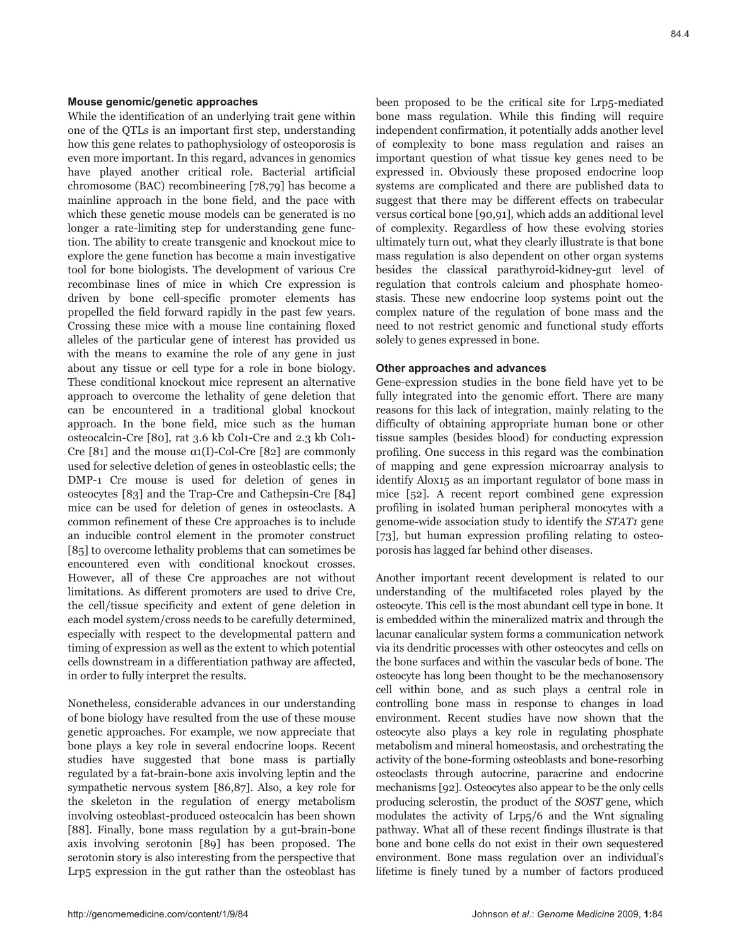While the identification of an underlying trait gene within one of the QTLs is an important first step, understanding how this gene relates to pathophysiology of osteoporosis is even more important. In this regard, advances in genomics have played another critical role. Bacterial artificial chromosome (BAC) recombineering [78,79] has become a mainline approach in the bone field, and the pace with which these genetic mouse models can be generated is no longer a rate-limiting step for understanding gene function. The ability to create transgenic and knockout mice to explore the gene function has become a main investigative tool for bone biologists. The development of various Cre recombinase lines of mice in which Cre expression is driven by bone cell-specific promoter elements has propelled the field forward rapidly in the past few years. Crossing these mice with a mouse line containing floxed alleles of the particular gene of interest has provided us with the means to examine the role of any gene in just about any tissue or cell type for a role in bone biology. These conditional knockout mice represent an alternative approach to overcome the lethality of gene deletion that can be encountered in a traditional global knockout approach. In the bone field, mice such as the human osteocalcin-Cre [80], rat 3.6 kb Col1-Cre and 2.3 kb Col1- Cre  $[81]$  and the mouse  $\alpha1(I)$ -Col-Cre  $[82]$  are commonly used for selective deletion of genes in osteoblastic cells; the DMP-1 Cre mouse is used for deletion of genes in osteocytes [83] and the Trap-Cre and Cathepsin-Cre [84] mice can be used for deletion of genes in osteoclasts. A common refinement of these Cre approaches is to include an inducible control element in the promoter construct [85] to overcome lethality problems that can sometimes be encountered even with conditional knockout crosses. However, all of these Cre approaches are not without limitations. As different promoters are used to drive Cre, the cell/tissue specificity and extent of gene deletion in each model system/cross needs to be carefully determined, especially with respect to the developmental pattern and timing of expression as well as the extent to which potential cells downstream in a differentiation pathway are affected, in order to fully interpret the results.

Nonetheless, considerable advances in our understanding of bone biology have resulted from the use of these mouse genetic approaches. For example, we now appreciate that bone plays a key role in several endocrine loops. Recent studies have suggested that bone mass is partially regulated by a fat-brain-bone axis involving leptin and the sympathetic nervous system [86,87]. Also, a key role for the skeleton in the regulation of energy metabolism involving osteoblast-produced osteocalcin has been shown [88]. Finally, bone mass regulation by a gut-brain-bone axis involving serotonin [89] has been proposed. The serotonin story is also interesting from the perspective that Lrp5 expression in the gut rather than the osteoblast has

84.4

been proposed to be the critical site for Lrp5-mediated bone mass regulation. While this finding will require independent confirmation, it potentially adds another level of complexity to bone mass regulation and raises an important question of what tissue key genes need to be expressed in. Obviously these proposed endocrine loop systems are complicated and there are published data to suggest that there may be different effects on trabecular versus cortical bone [90,91], which adds an additional level of complexity. Regardless of how these evolving stories ultimately turn out, what they clearly illustrate is that bone mass regulation is also dependent on other organ systems besides the classical parathyroid-kidney-gut level of regulation that controls calcium and phosphate homeostasis. These new endocrine loop systems point out the complex nature of the regulation of bone mass and the need to not restrict genomic and functional study efforts solely to genes expressed in bone.

#### **Other approaches and advances**

Gene-expression studies in the bone field have yet to be fully integrated into the genomic effort. There are many reasons for this lack of integration, mainly relating to the difficulty of obtaining appropriate human bone or other tissue samples (besides blood) for conducting expression profiling. One success in this regard was the combination of mapping and gene expression microarray analysis to identify Alox15 as an important regulator of bone mass in mice [52]. A recent report combined gene expression profiling in isolated human peripheral monocytes with a genome-wide association study to identify the *STAT1* gene [73], but human expression profiling relating to osteoporosis has lagged far behind other diseases.

Another important recent development is related to our understanding of the multifaceted roles played by the osteocyte. This cell is the most abundant cell type in bone. It is embedded within the mineralized matrix and through the lacunar canalicular system forms a communication network via its dendritic processes with other osteocytes and cells on the bone surfaces and within the vascular beds of bone. The osteocyte has long been thought to be the mechanosensory cell within bone, and as such plays a central role in controlling bone mass in response to changes in load environment. Recent studies have now shown that the osteocyte also plays a key role in regulating phosphate metabolism and mineral homeostasis, and orchestrating the activity of the bone-forming osteoblasts and bone-resorbing osteoclasts through autocrine, paracrine and endocrine mechanisms [92]. Osteocytes also appear to be the only cells producing sclerostin, the product of the *SOST* gene, which modulates the activity of Lrp5/6 and the Wnt signaling pathway. What all of these recent findings illustrate is that bone and bone cells do not exist in their own sequestered environment. Bone mass regulation over an individual's lifetime is finely tuned by a number of factors produced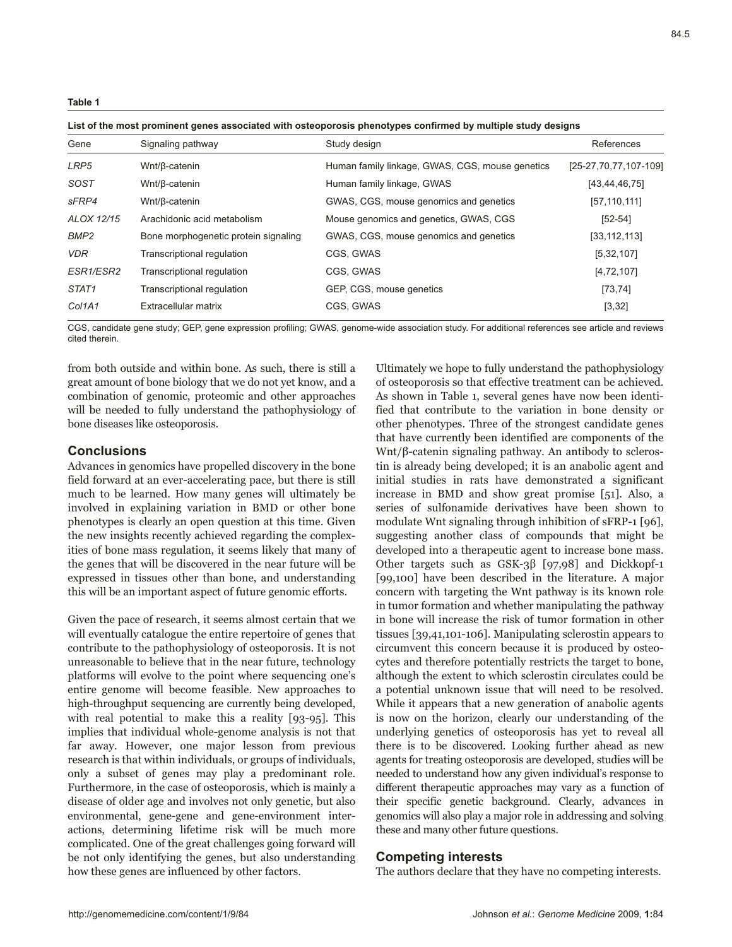| v<br>×<br>۰. |  |
|--------------|--|
|--------------|--|

**List of the most prominent genes associated with osteoporosis phenotypes confirmed by multiple study designs**

| Gene              | Signaling pathway                    | Study design                                    | References            |
|-------------------|--------------------------------------|-------------------------------------------------|-----------------------|
| LRP <sub>5</sub>  | Wnt/β-catenin                        | Human family linkage, GWAS, CGS, mouse genetics | [25-27,70,77,107-109] |
| SOST              | Wnt/β-catenin                        | Human family linkage, GWAS                      | [43, 44, 46, 75]      |
| sFRP4             | Wnt/β-catenin                        | GWAS, CGS, mouse genomics and genetics          | [57, 110, 111]        |
| ALOX 12/15        | Arachidonic acid metabolism          | Mouse genomics and genetics, GWAS, CGS          | $[52-54]$             |
| BMP <sub>2</sub>  | Bone morphogenetic protein signaling | GWAS, CGS, mouse genomics and genetics          | [33, 112, 113]        |
| <b>VDR</b>        | Transcriptional regulation           | CGS, GWAS                                       | [5, 32, 107]          |
| ESR1/ESR2         | Transcriptional regulation           | CGS, GWAS                                       | [4, 72, 107]          |
| STAT <sub>1</sub> | Transcriptional regulation           | GEP, CGS, mouse genetics                        | [73, 74]              |
| Col1A1            | Extracellular matrix                 | CGS, GWAS                                       | [3, 32]               |

CGS, candidate gene study; GEP, gene expression profiling; GWAS, genome-wide association study. For additional references see article and reviews cited therein.

from both outside and within bone. As such, there is still a great amount of bone biology that we do not yet know, and a combination of genomic, proteomic and other approaches will be needed to fully understand the pathophysiology of bone diseases like osteoporosis.

# **Conclusions**

Advances in genomics have propelled discovery in the bone field forward at an ever-accelerating pace, but there is still much to be learned. How many genes will ultimately be involved in explaining variation in BMD or other bone phenotypes is clearly an open question at this time. Given the new insights recently achieved regarding the complexities of bone mass regulation, it seems likely that many of the genes that will be discovered in the near future will be expressed in tissues other than bone, and understanding this will be an important aspect of future genomic efforts.

Given the pace of research, it seems almost certain that we will eventually catalogue the entire repertoire of genes that contribute to the pathophysiology of osteoporosis. It is not unreasonable to believe that in the near future, technology platforms will evolve to the point where sequencing one's entire genome will become feasible. New approaches to high-throughput sequencing are currently being developed, with real potential to make this a reality [93-95]. This implies that individual whole-genome analysis is not that far away. However, one major lesson from previous research is that within individuals, or groups of individuals, only a subset of genes may play a predominant role. Furthermore, in the case of osteoporosis, which is mainly a disease of older age and involves not only genetic, but also environmental, gene-gene and gene-environment interactions, determining lifetime risk will be much more complicated. One of the great challenges going forward will be not only identifying the genes, but also understanding how these genes are influenced by other factors.

Ultimately we hope to fully understand the pathophysiology of osteoporosis so that effective treatment can be achieved. As shown in Table 1, several genes have now been identified that contribute to the variation in bone density or other phenotypes. Three of the strongest candidate genes that have currently been identified are components of the Wnt/β-catenin signaling pathway. An antibody to sclerostin is already being developed; it is an anabolic agent and initial studies in rats have demonstrated a significant increase in BMD and show great promise [51]. Also, a series of sulfonamide derivatives have been shown to modulate Wnt signaling through inhibition of sFRP-1 [96], suggesting another class of compounds that might be developed into a therapeutic agent to increase bone mass. Other targets such as GSK-3β [97,98] and Dickkopf-1 [99,100] have been described in the literature. A major concern with targeting the Wnt pathway is its known role in tumor formation and whether manipulating the pathway in bone will increase the risk of tumor formation in other tissues [39,41,101-106]. Manipulating sclerostin appears to circumvent this concern because it is produced by osteocytes and therefore potentially restricts the target to bone, although the extent to which sclerostin circulates could be a potential unknown issue that will need to be resolved. While it appears that a new generation of anabolic agents is now on the horizon, clearly our understanding of the underlying genetics of osteoporosis has yet to reveal all there is to be discovered. Looking further ahead as new agents for treating osteoporosis are developed, studies will be needed to understand how any given individual's response to different therapeutic approaches may vary as a function of their specific genetic background. Clearly, advances in genomics will also play a major role in addressing and solving these and many other future questions.

#### **Competing interests**

The authors declare that they have no competing interests.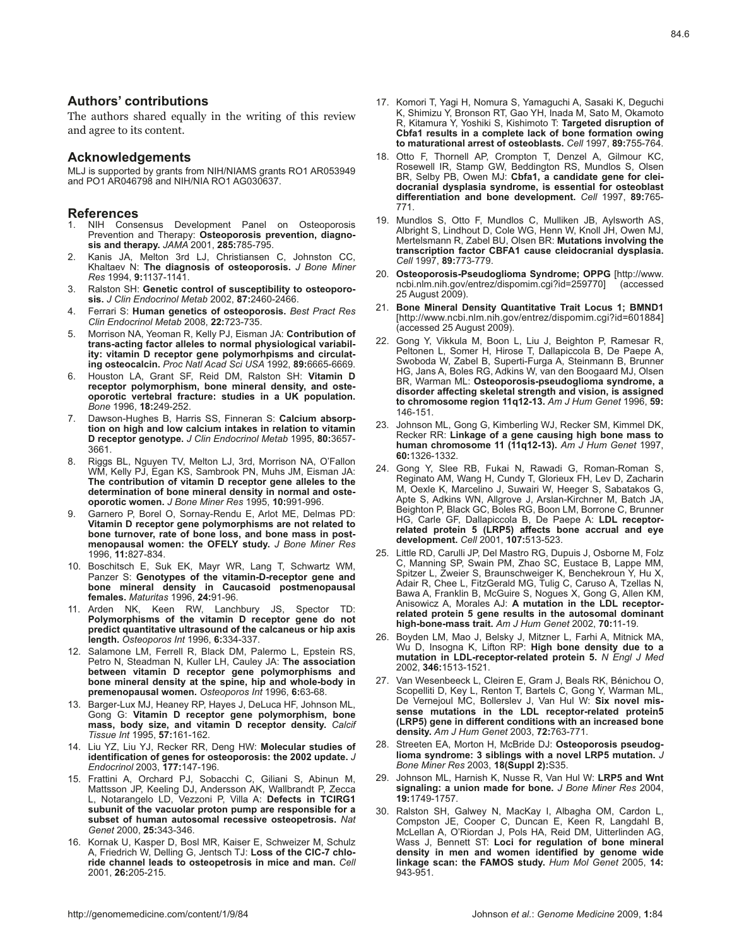# **Authors' contributions**

The authors shared equally in the writing of this review and agree to its content.

#### **Acknowledgements**

MLJ is supported by grants from NIH/NIAMS grants RO1 AR053949 and PO1 AR046798 and NIH/NIA RO1 AG030637.

#### **References**

- NIH Consensus Development Panel on Osteoporosis Prevention and Therapy: **Osteoporosis prevention, diagnosis and therapy.** *JAMA* 2001, **285:**785-795.
- 2. Kanis JA, Melton 3rd LJ, Christiansen C, Johnston CC, Khaltaev N: **The diagnosis of osteoporosis.** *J Bone Miner Res* 1994, **9:**1137-1141.
- 3. Ralston SH: **Genetic control of susceptibility to osteoporosis.** *J Clin Endocrinol Metab* 2002, **87:**2460-2466.
- 4. Ferrari S: **Human genetics of osteoporosis.** *Best Pract Res Clin Endocrinol Metab* 2008, **22:**723-735.
- 5. Morrison NA, Yeoman R, Kelly PJ, Eisman JA: **Contribution of trans-acting factor alleles to normal physiological variability: vitamin D receptor gene polymorhpisms and circulating osteocalcin.** *Proc Natl Acad Sci USA* 1992, **89:**6665-6669.
- 6. Houston LA, Grant SF, Reid DM, Ralston SH: **Vitamin D receptor polymorphism, bone mineral density, and osteoporotic vertebral fracture: studies in a UK population.** *Bone* 1996, **18:**249-252.
- Dawson-Hughes B, Harris SS, Finneran S: Calcium absorp**tion on high and low calcium intakes in relation to vitamin D receptor genotype.** *J Clin Endocrinol Metab* 1995, **80:**3657- 3661.
- 8. Riggs BL, Nguyen TV, Melton LJ, 3rd, Morrison NA, O'Fallon WM, Kelly PJ, Egan KS, Sambrook PN, Muhs JM, Eisman JA: **The contribution of vitamin D receptor gene alleles to the determination of bone mineral density in normal and osteoporotic women.** *J Bone Miner Res* 1995, **10:**991-996.
- 9. Garnero P, Borel O, Sornay-Rendu E, Arlot ME, Delmas PD: **Vitamin D receptor gene polymorphisms are not related to bone turnover, rate of bone loss, and bone mass in postmenopausal women: the OFELY study.** *J Bone Miner Res*  1996, **11:**827-834.
- 10. Boschitsch E, Suk EK, Mayr WR, Lang T, Schwartz WM, Panzer S: **Genotypes of the vitamin-D-receptor gene and bone mineral density in Caucasoid postmenopausal females.** *Maturitas* 1996, **24:**91-96.
- 11. Arden NK, Keen RW, Lanchbury JS, Spector TD: **Polymorphisms of the vitamin D receptor gene do not predict quantitative ultrasound of the calcaneus or hip axis length.** *Osteoporos Int* 1996, **6:**334-337.
- 12. Salamone LM, Ferrell R, Black DM, Palermo L, Epstein RS, Petro N, Steadman N, Kuller LH, Cauley JA: **The association between vitamin D receptor gene polymorphisms and bone mineral density at the spine, hip and whole-body in premenopausal women.** *Osteoporos Int* 1996, **6:**63-68.
- 13. Barger-Lux MJ, Heaney RP, Hayes J, DeLuca HF, Johnson ML, Gong G: **Vitamin D receptor gene polymorphism, bone mass, body size, and vitamin D receptor density.** *Calcif Tissue Int* 1995, **57:**161-162.
- 14. Liu YZ, Liu YJ, Recker RR, Deng HW: **Molecular studies of identification of genes for osteoporosis: the 2002 update.** *J Endocrinol* 2003, **177:**147-196.
- 15. Frattini A, Orchard PJ, Sobacchi C, Giliani S, Abinun M, Mattsson JP, Keeling DJ, Andersson AK, Wallbrandt P, Zecca L, Notarangelo LD, Vezzoni P, Villa A: **Defects in TCIRG1 subunit of the vacuolar proton pump are responsible for a subset of human autosomal recessive osteopetrosis.** *Nat Genet* 2000, **25:**343-346.
- 16. Kornak U, Kasper D, Bosl MR, Kaiser E, Schweizer M, Schulz A, Friedrich W, Delling G, Jentsch TJ: **Loss of the ClC-7 chloride channel leads to osteopetrosis in mice and man.** *Cell*  2001, **26:**205-215.
- 17. Komori T, Yagi H, Nomura S, Yamaguchi A, Sasaki K, Deguchi K, Shimizu Y, Bronson RT, Gao YH, Inada M, Sato M, Okamoto R, Kitamura Y, Yoshiki S, Kishimoto T: **Targeted disruption of Cbfa1 results in a complete lack of bone formation owing to maturational arrest of osteoblasts.** *Cell* 1997, **89:**755-764.
- 18. Otto F, Thornell AP, Crompton T, Denzel A, Gilmour KC, Rosewell IR, Stamp GW, Beddington RS, Mundlos S, Olsen BR, Selby PB, Owen MJ: **Cbfa1, a candidate gene for cleidocranial dysplasia syndrome, is essential for osteoblast differentiation and bone development.** *Cell* 1997, **89:**765- 771.
- 19. Mundlos S, Otto F, Mundlos C, Mulliken JB, Aylsworth AS, Albright S, Lindhout D, Cole WG, Henn W, Knoll JH, Owen MJ, Mertelsmann R, Zabel BU, Olsen BR: **Mutations involving the transcription factor CBFA1 cause cleidocranial dysplasia.** *Cell* 1997, **89:**773-779.
- 20. **Osteoporosis-Pseudoglioma Syndrome; OPPG** [http://www. ncbi.nlm.nih.gov/entrez/dispomim.cgi?id=259770] 25 August 2009).
- 21. **Bone Mineral Density Quantitative Trait Locus 1; BMND1**  [http://www.ncbi.nlm.nih.gov/entrez/dispomim.cgi?id=601884] (accessed 25 August 2009).
- 22. Gong Y, Vikkula M, Boon L, Liu J, Beighton P, Ramesar R, Peltonen L, Somer H, Hirose T, Dallapiccola B, De Paepe A, Swoboda W, Zabel B, Superti-Furga A, Steinmann B, Brunner HG, Jans A, Boles RG, Adkins W, van den Boogaard MJ, Olsen BR, Warman ML: **Osteoporosis-pseudoglioma syndrome, a disorder affecting skeletal strength and vision, is assigned to chromosome region 11q12-13.** *Am J Hum Genet* 1996, **59:**  146-151.
- Johnson ML, Gong G, Kimberling WJ, Recker SM, Kimmel DK, Recker RR: **Linkage of a gene causing high bone mass to human chromosome 11 (11q12-13).** *Am J Hum Genet* 1997, **60:** 1326-1332.
- 24. Gong Y, Slee RB, Fukai N, Rawadi G, Roman-Roman S, Reginato AM, Wang H, Cundy T, Glorieux FH, Lev D, Zacharin M, Oexle K, Marcelino J, Suwairi W, Heeger S, Sabatakos G, Apte S, Adkins WN, Allgrove J, Arslan-Kirchner M, Batch JA, Beighton P, Black GC, Boles RG, Boon LM, Borrone C, Brunner HG, Carle GF, Dallapiccola B, De Paepe A: **LDL receptorrelated protein 5 (LRP5) affects bone accrual and eye development.** *Cell* 2001, **107:**513-523.
- 25. Little RD, Carulli JP, Del Mastro RG, Dupuis J, Osborne M, Folz C, Manning SP, Swain PM, Zhao SC, Eustace B, Lappe MM, Spitzer L, Zweier S, Braunschweiger K, Benchekroun Y, Hu X, Adair R, Chee L, FitzGerald MG, Tulig C, Caruso A, Tzellas N, Bawa A, Franklin B, McGuire S, Nogues X, Gong G, Allen KM, Anisowicz A, Morales AJ: **A mutation in the LDL receptorrelated protein 5 gene results in the autosomal dominant high-bone-mass trait.** *Am J Hum Genet* 2002, **70:**11-19.
- 26. Boyden LM, Mao J, Belsky J, Mitzner L, Farhi A, Mitnick MA, Wu D, Insogna K, Lifton RP: **High bone density due to a mutation in LDL-receptor-related protein 5.** *N Engl J Med*  2002, **346:**1513-1521.
- 27. Van Wesenbeeck L, Cleiren E, Gram J, Beals RK, Bénichou O, Scopelliti D, Key L, Renton T, Bartels C, Gong Y, Warman ML, De Vernejoul MC, Bollerslev J, Van Hul W: **Six novel missense mutations in the LDL receptor-related protein5 (LRP5) gene in different conditions with an increased bone density.** *Am J Hum Genet* 2003, **72:**763-771.
- 28. Streeten EA, Morton H, McBride DJ: **Osteoporosis pseudoglioma syndrome: 3 siblings with a novel LRP5 mutation.** *J Bone Miner Res* 2003, **18(Suppl 2):**S35.
- 29. Johnson ML, Harnish K, Nusse R, Van Hul W: **LRP5 and Wnt signaling: a union made for bone.** *J Bone Miner Res* 2004, **19:** 1749-1757.
- 30. Ralston SH, Galwey N, MacKay I, Albagha OM, Cardon L, Compston JE, Cooper C, Duncan E, Keen R, Langdahl B, McLellan A, O'Riordan J, Pols HA, Reid DM, Uitterlinden AG, Wass J, Bennett ST: **Loci for regulation of bone mineral density in men and women identified by genome wide linkage scan: the FAMOS study.** *Hum Mol Genet* 2005, **14:**  943-951.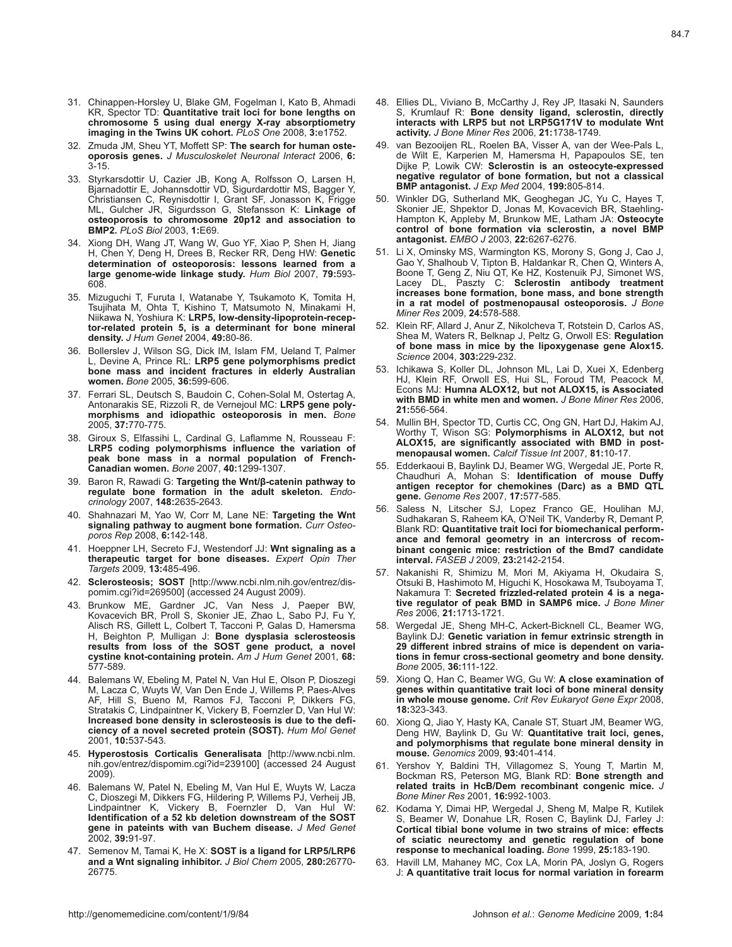- 31. Chinappen-Horsley U, Blake GM, Fogelman I, Kato B, Ahmadi KR, Spector TD: **Quantitative trait loci for bone lengths on chromosome 5 using dual energy X-ray absorptiometry imaging in the Twins UK cohort.** *PLoS One* 2008, **3:**e1752.
- 32. Zmuda JM, Sheu YT, Moffett SP: **The search for human osteoporosis genes.** *J Musculoskelet Neuronal Interact* 2006, **6:**  3-15.
- 33. Styrkarsdottir U, Cazier JB, Kong A, Rolfsson O, Larsen H, Bjarnadottir E, Johannsdottir VD, Sigurdardottir MS, Bagger Y, Christiansen C, Reynisdottir I, Grant SF, Jonasson K, Frigge ML, Gulcher JR, Sigurdsson G, Stefansson K: **Linkage of osteoporosis to chromosome 20p12 and association to BMP2.** *PLoS Biol* 2003, **1:**E69.
- 34. Xiong DH, Wang JT, Wang W, Guo YF, Xiao P, Shen H, Jiang H, Chen Y, Deng H, Drees B, Recker RR, Deng HW: **Genetic determination of osteoporosis: lessons learned from a large genome-wide linkage study.** *Hum Biol* 2007, **79:**593- 608.
- 35. Mizuguchi T, Furuta I, Watanabe Y, Tsukamoto K, Tomita H, Tsujihata M, Ohta T, Kishino T, Matsumoto N, Minakami H, Niikawa N, Yoshiura K: **LRP5, low-density-lipoprotein-receptor-related protein 5, is a determinant for bone mineral density.** *J Hum Genet* 2004, **49:**80-86.
- 36. Bollerslev J, Wilson SG, Dick IM, Islam FM, Ueland T, Palmer L, Devine A, Prince RL: **LRP5 gene polymorphisms predict bone mass and incident fractures in elderly Australian women.** *Bone* 2005, **36:**599-606.
- 37. Ferrari SL, Deutsch S, Baudoin C, Cohen-Solal M, Ostertag A, Antonarakis SE, Rizzoli R, de Vernejoul MC: **LRP5 gene polymorphisms and idiopathic osteoporosis in men.** *Bone*  2005, **37:**770-775.
- 38. Giroux S, Elfassihi L, Cardinal G, Laflamme N, Rousseau F: **LRP5 coding polymorphisms influence the variation of peak bone mass in a normal population of French-Canadian women.** *Bone* 2007, **40:**1299-1307.
- 39. Baron R, Rawadi G: **Targeting the Wnt/β-catenin pathway to regulate bone formation in the adult skeleton.** *Endocrinology* 2007, **148:**2635-2643.
- 40. Shahnazari M, Yao W, Corr M, Lane NE: **Targeting the Wnt signaling pathway to augment bone formation.** *Curr Osteoporos Rep* 2008, **6:**142-148.
- 41. Hoeppner LH, Secreto FJ, Westendorf JJ: **Wnt signaling as a therapeutic target for bone diseases.** *Expert Opin Ther Targets* 2009, **13:**485-496.
- 42. **Sclerosteosis; SOST** [http://www.ncbi.nlm.nih.gov/entrez/dispomim.cgi?id=269500] (accessed 24 August 2009).
- 43. Brunkow ME, Gardner JC, Van Ness J, Paeper BW, Kovacevich BR, Proll S, Skonier JE, Zhao L, Sabo PJ, Fu Y, Alisch RS, Gillett L, Colbert T, Tacconi P, Galas D, Hamersma H, Beighton P, Mulligan J: **Bone dysplasia sclerosteosis results from loss of the SOST gene product, a novel cystine knot-containing protein.** *Am J Hum Genet* 2001, **68:**  577-589.
- 44. Balemans W, Ebeling M, Patel N, Van Hul E, Olson P, Dioszegi M, Lacza C, Wuyts W, Van Den Ende J, Willems P, Paes-Alves AF, Hill S, Bueno M, Ramos FJ, Tacconi P, Dikkers FG, Stratakis C, Lindpaintner K, Vickery B, Foernzler D, Van Hul W: **Increased bone density in sclerosteosis is due to the deficiency of a novel secreted protein (SOST).** *Hum Mol Genet*  2001, **10:**537-543.
- 45. **Hyperostosis Corticalis Generalisata** [http://www.ncbi.nlm. nih.gov/entrez/dispomim.cgi?id=239100] (accessed 24 August 2009).
- 46. Balemans W, Patel N, Ebeling M, Van Hul E, Wuyts W, Lacza C, Dioszegi M, Dikkers FG, Hildering P, Willems PJ, Verheij JB, Lindpaintner K, Vickery B, Foernzler D, Van Hul W: **Identification of a 52 kb deletion downstream of the SOST gene in pateints with van Buchem disease.** *J Med Genet*  2002, **39:**91-97.
- 47. Semenov M, Tamai K, He X: **SOST is a ligand for LRP5/LRP6 and a Wnt signaling inhibitor.** *J Biol Chem* 2005, **280:**26770- 26775.
- 48. Ellies DL, Viviano B, McCarthy J, Rey JP, Itasaki N, Saunders S, Krumlauf R: **Bone density ligand, sclerostin, directly interacts with LRP5 but not LRP5G171V to modulate Wnt activity.** *J Bone Miner Res* 2006, **21:**1738-1749.
- 49. van Bezooijen RL, Roelen BA, Visser A, van der Wee-Pals L, de Wilt E, Karperien M, Hamersma H, Papapoulos SE, ten Dijke P, Lowik CW: **Sclerostin is an osteocyte-expressed negative regulator of bone formation, but not a classical BMP antagonist.** *J Exp Med* 2004, **199:**805-814.
- 50. Winkler DG, Sutherland MK, Geoghegan JC, Yu C, Hayes T, Skonier JE, Shpektor D, Jonas M, Kovacevich BR, Staehling-Hampton K, Appleby M, Brunkow ME, Latham JA: **Osteocyte control of bone formation via sclerostin, a novel BMP antagonist.** *EMBO J* 2003, **22:**6267-6276.
- 51. Li X, Ominsky MS, Warmington KS, Morony S, Gong J, Cao J, Gao Y, Shalhoub V, Tipton B, Haldankar R, Chen Q, Winters A, Boone T, Geng Z, Niu QT, Ke HZ, Kostenuik PJ, Simonet WS, Lacey DL, Paszty C: **Sclerostin antibody treatment increases bone formation, bone mass, and bone strength in a rat model of postmenopausal osteoporosis.** *J Bone Miner Res* 2009, **24:**578-588.
- 52. Klein RF, Allard J, Anur Z, Nikolcheva T, Rotstein D, Carlos AS, Shea M, Waters R, Belknap J, Peltz G, Orwoll ES: **Regulation of bone mass in mice by the lipoxygenase gene Alox15.** *Science* 2004, **303:**229-232.
- 53. Ichikawa S, Koller DL, Johnson ML, Lai D, Xuei X, Edenberg HJ, Klein RF, Orwoll ES, Hui SL, Foroud TM, Peacock M, Econs MJ: **Humna ALOX12, but not ALOX15, is Associated with BMD in white men and women.** *J Bone Miner Res* 2006, **21:** 556-564.
- 54. Mullin BH, Spector TD, Curtis CC, Ong GN, Hart DJ, Hakim AJ, Worthy T, Wison SG: **Polymorphisms in ALOX12, but not ALOX15, are significantly associated with BMD in postmenopausal women.** *Calcif Tissue Int* 2007, **81:**10-17.
- 55. Edderkaoui B, Baylink DJ, Beamer WG, Wergedal JE, Porte R, Chaudhuri A, Mohan S: **Identification of mouse Duffy antigen receptor for chemokines (Darc) as a BMD QTL gene.** *Genome Res* 2007, **17:**577-585.
- 56. Saless N, Litscher SJ, Lopez Franco GE, Houlihan MJ, Sudhakaran S, Raheem KA, O'Neil TK, Vanderby R, Demant P, Blank RD: **Quantitative trait loci for biomechanical performance and femoral geometry in an intercross of recombinant congenic mice: restriction of the Bmd7 candidate interval.** *FASEB J* 2009, **23:**2142-2154.
- 57. Nakanishi R, Shimizu M, Mori M, Akiyama H, Okudaira S, Otsuki B, Hashimoto M, Higuchi K, Hosokawa M, Tsuboyama T, Nakamura T: **Secreted frizzled-related protein 4 is a negative regulator of peak BMD in SAMP6 mice.** *J Bone Miner Res* 2006, **21:**1713-1721.
- 58. Wergedal JE, Sheng MH-C, Ackert-Bicknell CL, Beamer WG, Baylink DJ: **Genetic variation in femur extrinsic strength in 29 different inbred strains of mice is dependent on variations in femur cross-sectional geometry and bone density.** *Bone* 2005, **36:**111-122.
- 59. Xiong Q, Han C, Beamer WG, Gu W: **A close examination of genes within quantitative trait loci of bone mineral density in whole mouse genome.** *Crit Rev Eukaryot Gene Expr* 2008, **18:** 323-343.
- 60. Xiong Q, Jiao Y, Hasty KA, Canale ST, Stuart JM, Beamer WG, Deng HW, Baylink D, Gu W: **Quantitative trait loci, genes, and polymorphisms that regulate bone mineral density in mouse.** *Genomics* 2009, **93:**401-414.
- 61. Yershov Y, Baldini TH, Villagomez S, Young T, Martin M, Bockman RS, Peterson MG, Blank RD: **Bone strength and related traits in HcB/Dem recombinant congenic mice.** *J Bone Miner Res* 2001, **16:**992-1003.
- 62. Kodama Y, Dimai HP, Wergedal J, Sheng M, Malpe R, Kutilek S, Beamer W, Donahue LR, Rosen C, Baylink DJ, Farley J: **Cortical tibial bone volume in two strains of mice: effects of sciatic neurectomy and genetic regulation of bone response to mechanical loading.** *Bone* 1999, **25:**183-190.
- 63. Havill LM, Mahaney MC, Cox LA, Morin PA, Joslyn G, Rogers J: **A quantitative trait locus for normal variation in forearm**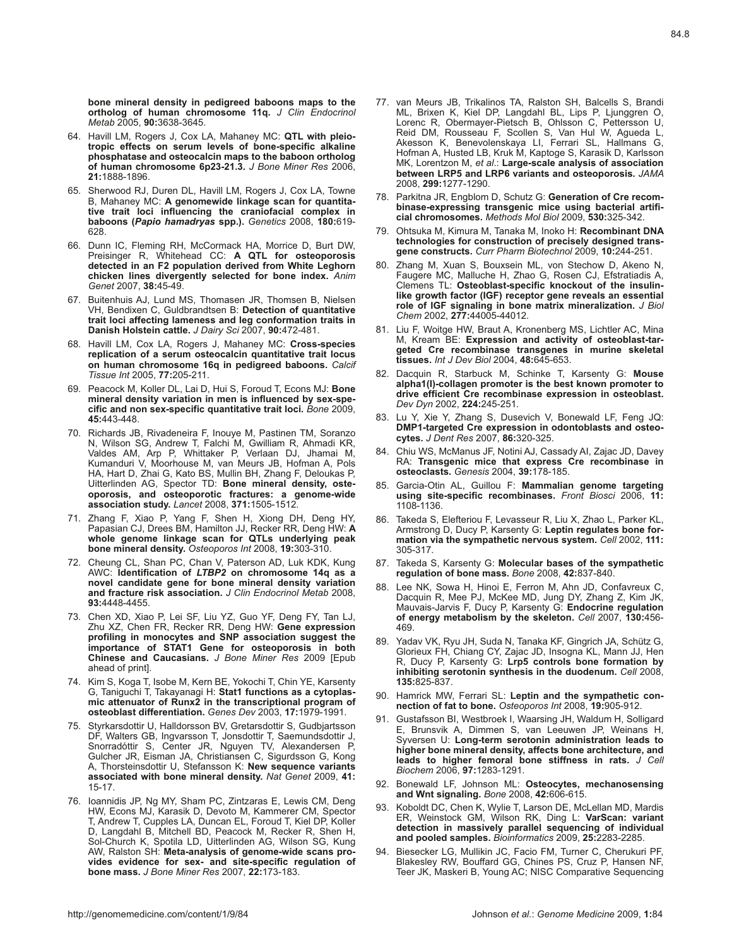**bone mineral density in pedigreed baboons maps to the ortholog of human chromosome 11q.** *J Clin Endocrinol Metab* 2005, **90:**3638-3645.

- 64. Havill LM, Rogers J, Cox LA, Mahaney MC: **QTL with pleiotropic effects on serum levels of bone-specific alkaline phosphatase and osteocalcin maps to the baboon ortholog of human chromosome 6p23-21.3.** *J Bone Miner Res* 2006, **21:** 1888-1896.
- 65. Sherwood RJ, Duren DL, Havill LM, Rogers J, Cox LA, Towne B, Mahaney MC: **A genomewide linkage scan for quantitative trait loci influencing the craniofacial complex in baboons (***Papio hamadryas* **spp.).** *Genetics* 2008, **180:**619- 628.
- 66. Dunn IC, Fleming RH, McCormack HA, Morrice D, Burt DW, Preisinger R, Whitehead CC: **A QTL for osteoporosis detected in an F2 population derived from White Leghorn chicken lines divergently selected for bone index.** *Anim Genet* 2007, **38:**45-49.
- 67. Buitenhuis AJ, Lund MS, Thomasen JR, Thomsen B, Nielsen VH, Bendixen C, Guldbrandtsen B: **Detection of quantitative trait loci affecting lameness and leg conformation traits in Danish Holstein cattle.** *J Dairy Sci* 2007, **90:**472-481.
- 68. Havill LM, Cox LA, Rogers J, Mahaney MC: **Cross-species replication of a serum osteocalcin quantitative trait locus on human chromosome 16q in pedigreed baboons.** *Calcif Tissue Int* 2005, **77:**205-211.
- 69. Peacock M, Koller DL, Lai D, Hui S, Foroud T, Econs MJ: **Bone mineral density variation in men is influenced by sex-specific and non sex-specific quantitative trait loci.** *Bone* 2009, **45:** 443-448.
- 70. Richards JB, Rivadeneira F, Inouye M, Pastinen TM, Soranzo N, Wilson SG, Andrew T, Falchi M, Gwilliam R, Ahmadi KR, Valdes AM, Arp P, Whittaker P, Verlaan DJ, Jhamai M, Kumanduri V, Moorhouse M, van Meurs JB, Hofman A, Pols HA, Hart D, Zhai G, Kato BS, Mullin BH, Zhang F, Deloukas P, Uitterlinden AG, Spector TD: **Bone mineral density, osteoporosis, and osteoporotic fractures: a genome-wide association study.** *Lancet* 2008, **371:**1505-1512.
- 71. Zhang F, Xiao P, Yang F, Shen H, Xiong DH, Deng HY, Papasian CJ, Drees BM, Hamilton JJ, Recker RR, Deng HW: **A whole genome linkage scan for QTLs underlying peak bone mineral density.** *Osteoporos Int* 2008, **19:**303-310.
- 72. Cheung CL, Shan PC, Chan V, Paterson AD, Luk KDK, Kung AWC: **Identification of** *LTBP2* **on chromosome 14q as a novel candidate gene for bone mineral density variation and fracture risk association.** *J Clin Endocrinol Metab* 2008, **93:**4448-4455.
- 73. Chen XD, Xiao P, Lei SF, Liu YZ, Guo YF, Deng FY, Tan LJ, Zhu XZ, Chen FR, Recker RR, Deng HW: **Gene expression profiling in monocytes and SNP association suggest the importance of STAT1 Gene for osteoporosis in both Chinese and Caucasians.** *J Bone Miner Res* 2009 [Epub ahead of print].
- 74. Kim S, Koga T, Isobe M, Kern BE, Yokochi T, Chin YE, Karsenty G, Taniguchi T, Takayanagi H: **Stat1 functions as a cytoplasmic attenuator of Runx2 in the transcriptional program of osteoblast differentiation.** *Genes Dev* 2003, **17:**1979-1991.
- 75. Styrkarsdottir U, Halldorsson BV, Gretarsdottir S, Gudbjartsson DF, Walters GB, Ingvarsson T, Jonsdottir T, Saemundsdottir J, Snorradóttir S, Center JR, Nguyen TV, Alexandersen P, Gulcher JR, Eisman JA, Christiansen C, Sigurdsson G, Kong A, Thorsteinsdottir U, Stefansson K: **New sequence variants associated with bone mineral density.** *Nat Genet* 2009, **41:**  15-17.
- 76. Ioannidis JP, Ng MY, Sham PC, Zintzaras E, Lewis CM, Deng HW, Econs MJ, Karasik D, Devoto M, Kammerer CM, Spector T, Andrew T, Cupples LA, Duncan EL, Foroud T, Kiel DP, Koller D, Langdahl B, Mitchell BD, Peacock M, Recker R, Shen H, Sol-Church K, Spotila LD, Uitterlinden AG, Wilson SG, Kung AW, Ralston SH: **Meta-analysis of genome-wide scans provides evidence for sex- and site-specific regulation of bone mass.** *J Bone Miner Res* 2007, **22:**173-183.
- 77. van Meurs JB, Trikalinos TA, Ralston SH, Balcells S, Brandi ML, Brixen K, Kiel DP, Langdahl BL, Lips P, Ljunggren O, Lorenc R, Obermayer-Pietsch B, Ohlsson C, Pettersson U, Reid DM, Rousseau F, Scollen S, Van Hul W, Agueda L, Akesson K, Benevolenskaya LI, Ferrari SL, Hallmans G, Hofman A, Husted LB, Kruk M, Kaptoge S, Karasik D, Karlsson MK, Lorentzon M, *et al*.: **Large-scale analysis of association between LRP5 and LRP6 variants and osteoporosis.** *JAMA*  2008, **299:**1277-1290.
- 78. Parkitna JR, Engblom D, Schutz G: **Generation of Cre recombinase-expressing transgenic mice using bacterial artificial chromosomes.** *Methods Mol Biol* 2009, **530:**325-342.
- 79. Ohtsuka M, Kimura M, Tanaka M, Inoko H: **Recombinant DNA technologies for construction of precisely designed transgene constructs.** *Curr Pharm Biotechnol* 2009, **10:**244-251.
- Zhang M, Xuan S, Bouxsein ML, von Stechow D, Akeno N, Faugere MC, Malluche H, Zhao G, Rosen CJ, Efstratiadis A, Clemens TL: **Osteoblast-specific knockout of the insulinlike growth factor (IGF) receptor gene reveals an essential role of IGF signaling in bone matrix mineralization.** *J Biol Chem* 2002, **277:**44005-44012.
- 81. Liu F, Woitge HW, Braut A, Kronenberg MS, Lichtler AC, Mina M, Kream BE: **Expression and activity of osteoblast-targeted Cre recombinase transgenes in murine skeletal tissues.** *Int J Dev Biol* 2004, **48:**645-653.
- 82. Dacquin R, Starbuck M, Schinke T, Karsenty G: **Mouse alpha1(I)-collagen promoter is the best known promoter to drive efficient Cre recombinase expression in osteoblast.** *Dev Dyn* 2002, **224:**245-251.
- 83. Lu Y, Xie Y, Zhang S, Dusevich V, Bonewald LF, Feng JQ: **DMP1-targeted Cre expression in odontoblasts and osteocytes.** *J Dent Res* 2007, **86:**320-325.
- 84. Chiu WS, McManus JF, Notini AJ, Cassady AI, Zajac JD, Davey RA: **Transgenic mice that express Cre recombinase in osteoclasts.** *Genesis* 2004, **39:**178-185.
- 85. Garcia-Otin AL, Guillou F: **Mammalian genome targeting using site-specific recombinases.** *Front Biosci* 2006, **11:**  1108-1136.
- 86. Takeda S, Elefteriou F, Levasseur R, Liu X, Zhao L, Parker KL, Armstrong D, Ducy P, Karsenty G: **Leptin regulates bone formation via the sympathetic nervous system.** *Cell* 2002, **111:**  305-317.
- 87. Takeda S, Karsenty G: **Molecular bases of the sympathetic regulation of bone mass.** *Bone* 2008, **42:**837-840.
- 88. Lee NK, Sowa H, Hinoi E, Ferron M, Ahn JD, Confavreux C, Dacquin R, Mee PJ, McKee MD, Jung DY, Zhang Z, Kim JK, Mauvais-Jarvis F, Ducy P, Karsenty G: **Endocrine regulation of energy metabolism by the skeleton.** *Cell* 2007, **130:**456- 469.
- 89. Yadav VK, Ryu JH, Suda N, Tanaka KF, Gingrich JA, Schütz G, Glorieux FH, Chiang CY, Zajac JD, Insogna KL, Mann JJ, Hen R, Ducy P, Karsenty G: **Lrp5 controls bone formation by inhibiting serotonin synthesis in the duodenum.** *Cell* 2008, **135:**825-837.
- 90. Hamrick MW, Ferrari SL: **Leptin and the sympathetic connection of fat to bone.** *Osteoporos Int* 2008, **19:**905-912.
- 91. Gustafsson BI, Westbroek I, Waarsing JH, Waldum H, Solligard E, Brunsvik A, Dimmen S, van Leeuwen JP, Weinans H, Syversen U: **Long-term serotonin administration leads to higher bone mineral density, affects bone architecture, and leads to higher femoral bone stiffness in rats.** *J Cell Biochem* 2006, **97:**1283-1291.
- 92. Bonewald LF, Johnson ML: **Osteocytes, mechanosensing and Wnt signaling.** *Bone* 2008, **42:**606-615.
- 93. Koboldt DC, Chen K, Wylie T, Larson DE, McLellan MD, Mardis ER, Weinstock GM, Wilson RK, Ding L: **VarScan: variant detection in massively parallel sequencing of individual and pooled samples.** *Bioinformatics* 2009, **25:**2283-2285.
- 94. Biesecker LG, Mullikin JC, Facio FM, Turner C, Cherukuri PF, Blakesley RW, Bouffard GG, Chines PS, Cruz P, Hansen NF, Teer JK, Maskeri B, Young AC; NISC Comparative Sequencing